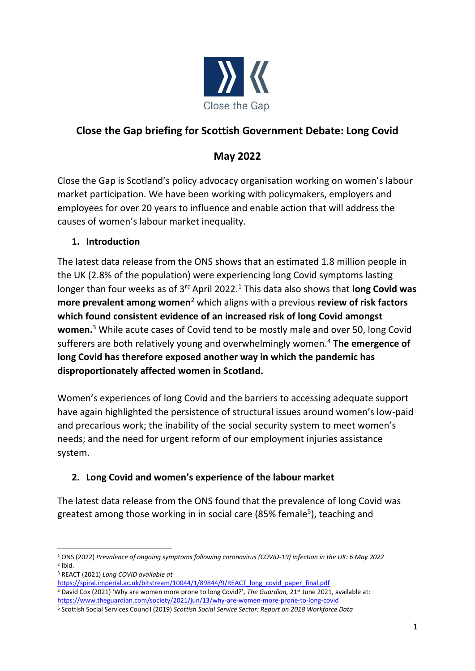

## **Close the Gap briefing for Scottish Government Debate: Long Covid**

# **May 2022**

Close the Gap is Scotland's policy advocacy organisation working on women's labour market participation. We have been working with policymakers, employers and employees for over 20 years to influence and enable action that will address the causes of women's labour market inequality.

### **1. Introduction**

The latest data release from the ONS shows that an estimated 1.8 million people in the UK (2.8% of the population) were experiencing long Covid symptoms lasting longer than four weeks as of 3<sup>rd</sup> April 2022.<sup>1</sup> This data also shows that **long Covid was more prevalent among women**<sup>2</sup> which aligns with a previous **review of risk factors which found consistent evidence of an increased risk of long Covid amongst women.**<sup>3</sup> While acute cases of Covid tend to be mostly male and over 50, long Covid sufferers are both relatively young and overwhelmingly women.<sup>4</sup> **The emergence of long Covid has therefore exposed another way in which the pandemic has disproportionately affected women in Scotland.**

Women's experiences of long Covid and the barriers to accessing adequate support have again highlighted the persistence of structural issues around women's low-paid and precarious work; the inability of the social security system to meet women's needs; and the need for urgent reform of our employment injuries assistance system.

## **2. Long Covid and women's experience of the labour market**

The latest data release from the ONS found that the prevalence of long Covid was greatest among those working in in social care (85% female<sup>5</sup>), teaching and

<sup>3</sup> REACT (2021) *Long COVID available at* 

<sup>4</sup> David Cox (2021) 'Why are women more prone to long Covid?', *The Guardian,* 21st June 2021, available at: <https://www.theguardian.com/society/2021/jun/13/why-are-women-more-prone-to-long-covid>

<sup>1</sup> ONS (2022) *Prevalence of ongoing symptoms following coronavirus (COVID-19) infection in the UK: 6 May 2022*  $2$  Ibid.

[https://spiral.imperial.ac.uk/bitstream/10044/1/89844/9/REACT\\_long\\_covid\\_paper\\_final.pdf](https://spiral.imperial.ac.uk/bitstream/10044/1/89844/9/REACT_long_covid_paper_final.pdf)

<sup>5</sup> Scottish Social Services Council (2019) *Scottish Social Service Sector: Report on 2018 Workforce Data*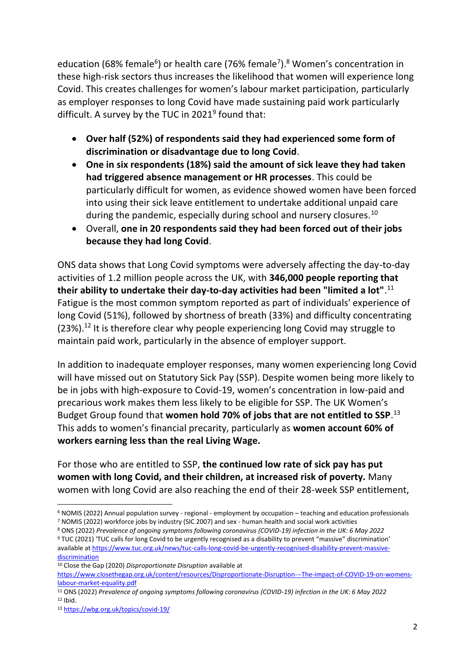education (68% female<sup>6</sup>) or health care (76% female<sup>7</sup>).<sup>8</sup> Women's concentration in these high-risk sectors thus increases the likelihood that women will experience long Covid. This creates challenges for women's labour market participation, particularly as employer responses to long Covid have made sustaining paid work particularly difficult. A survey by the TUC in 2021<sup>9</sup> found that:

- **Over half (52%) of respondents said they had experienced some form of discrimination or disadvantage due to long Covid**.
- **One in six respondents (18%) said the amount of sick leave they had taken had triggered absence management or HR processes**. This could be particularly difficult for women, as evidence showed women have been forced into using their sick leave entitlement to undertake additional unpaid care during the pandemic, especially during school and nursery closures.<sup>10</sup>
- Overall, **one in 20 respondents said they had been forced out of their jobs because they had long Covid**.

ONS data shows that Long Covid symptoms were adversely affecting the day-to-day activities of 1.2 million people across the UK, with **346,000 people reporting that their ability to undertake their day-to-day activities had been "limited a lot"**. 11 Fatigue is the most common symptom reported as part of individuals' experience of long Covid (51%), followed by shortness of breath (33%) and difficulty concentrating  $(23\%)$ .<sup>12</sup> It is therefore clear why people experiencing long Covid may struggle to maintain paid work, particularly in the absence of employer support.

In addition to inadequate employer responses, many women experiencing long Covid will have missed out on Statutory Sick Pay (SSP). Despite women being more likely to be in jobs with high-exposure to Covid-19, women's concentration in low-paid and precarious work makes them less likely to be eligible for SSP. The UK Women's Budget Group found that **women hold 70% of jobs that are not entitled to SSP**. 13 This adds to women's financial precarity, particularly as **women account 60% of workers earning less than the real Living Wage.**

For those who are entitled to SSP, **the continued low rate of sick pay has put women with long Covid, and their children, at increased risk of poverty.** Many women with long Covid are also reaching the end of their 28-week SSP entitlement,

<sup>6</sup> NOMIS (2022) Annual population survey - regional - employment by occupation – teaching and education professionals <sup>7</sup> NOMIS (2022) workforce jobs by industry (SIC 2007) and sex - human health and social work activities

<sup>8</sup> ONS (2022) *Prevalence of ongoing symptoms following coronavirus (COVID-19) infection in the UK: 6 May 2022*

<sup>9</sup> TUC (2021) 'TUC calls for long Covid to be urgently recognised as a disability to prevent "massive" discrimination' available at [https://www.tuc.org.uk/news/tuc-calls-long-covid-be-urgently-recognised-disability-prevent-massive](https://www.tuc.org.uk/news/tuc-calls-long-covid-be-urgently-recognised-disability-prevent-massive-discrimination)[discrimination](https://www.tuc.org.uk/news/tuc-calls-long-covid-be-urgently-recognised-disability-prevent-massive-discrimination)

<sup>10</sup> Close the Gap (2020) *Disproportionate Disruption* available at

[https://www.closethegap.org.uk/content/resources/Disproportionate-Disruption---The-impact-of-COVID-19-on-womens](https://www.closethegap.org.uk/content/resources/Disproportionate-Disruption---The-impact-of-COVID-19-on-womens-labour-market-equality.pdf)[labour-market-equality.pdf](https://www.closethegap.org.uk/content/resources/Disproportionate-Disruption---The-impact-of-COVID-19-on-womens-labour-market-equality.pdf)

<sup>11</sup> ONS (2022) *Prevalence of ongoing symptoms following coronavirus (COVID-19) infection in the UK: 6 May 2022* <sup>12</sup> Ibid.

<sup>13</sup> <https://wbg.org.uk/topics/covid-19/>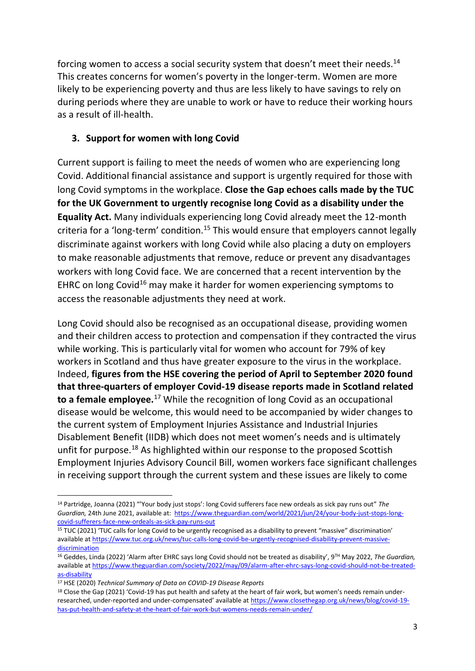forcing women to access a social security system that doesn't meet their needs.<sup>14</sup> This creates concerns for women's poverty in the longer-term. Women are more likely to be experiencing poverty and thus are less likely to have savings to rely on during periods where they are unable to work or have to reduce their working hours as a result of ill-health.

#### **3. Support for women with long Covid**

Current support is failing to meet the needs of women who are experiencing long Covid. Additional financial assistance and support is urgently required for those with long Covid symptoms in the workplace. **Close the Gap echoes calls made by the TUC for the UK Government to urgently recognise long Covid as a disability under the Equality Act.** Many individuals experiencing long Covid already meet the 12-month criteria for a 'long-term' condition.<sup>15</sup> This would ensure that employers cannot legally discriminate against workers with long Covid while also placing a duty on employers to make reasonable adjustments that remove, reduce or prevent any disadvantages workers with long Covid face. We are concerned that a recent intervention by the EHRC on long Covid<sup>16</sup> may make it harder for women experiencing symptoms to access the reasonable adjustments they need at work.

Long Covid should also be recognised as an occupational disease, providing women and their children access to protection and compensation if they contracted the virus while working. This is particularly vital for women who account for 79% of key workers in Scotland and thus have greater exposure to the virus in the workplace. Indeed, **figures from the HSE covering the period of April to September 2020 found that three-quarters of employer Covid-19 disease reports made in Scotland related to a female employee.**<sup>17</sup> While the recognition of long Covid as an occupational disease would be welcome, this would need to be accompanied by wider changes to the current system of Employment Injuries Assistance and Industrial Injuries Disablement Benefit (IIDB) which does not meet women's needs and is ultimately unfit for purpose.<sup>18</sup> As highlighted within our response to the proposed Scottish Employment Injuries Advisory Council Bill, women workers face significant challenges in receiving support through the current system and these issues are likely to come

<sup>14</sup> Partridge, Joanna (2021) "'Your body just stops': long Covid sufferers face new ordeals as sick pay runs out" *The Guardian,* 24th June 2021, available at: [https://www.theguardian.com/world/2021/jun/24/your-body-just-stops-long](https://www.theguardian.com/world/2021/jun/24/your-body-just-stops-long-covid-sufferers-face-new-ordeals-as-sick-pay-runs-out)[covid-sufferers-face-new-ordeals-as-sick-pay-runs-out](https://www.theguardian.com/world/2021/jun/24/your-body-just-stops-long-covid-sufferers-face-new-ordeals-as-sick-pay-runs-out)

<sup>15</sup> TUC (2021) 'TUC calls for long Covid to be urgently recognised as a disability to prevent "massive" discrimination' available at [https://www.tuc.org.uk/news/tuc-calls-long-covid-be-urgently-recognised-disability-prevent-massive](https://www.tuc.org.uk/news/tuc-calls-long-covid-be-urgently-recognised-disability-prevent-massive-discrimination)[discrimination](https://www.tuc.org.uk/news/tuc-calls-long-covid-be-urgently-recognised-disability-prevent-massive-discrimination)

<sup>16</sup> Geddes, Linda (2022) 'Alarm after EHRC says long Covid should not be treated as disability', 9TH May 2022, *The Guardian,*  available at [https://www.theguardian.com/society/2022/may/09/alarm-after-ehrc-says-long-covid-should-not-be-treated](https://www.theguardian.com/society/2022/may/09/alarm-after-ehrc-says-long-covid-should-not-be-treated-as-disability)[as-disability](https://www.theguardian.com/society/2022/may/09/alarm-after-ehrc-says-long-covid-should-not-be-treated-as-disability)

<sup>17</sup> HSE (2020) *Technical Summary of Data on COVID-19 Disease Reports* 

<sup>&</sup>lt;sup>18</sup> Close the Gap (2021) 'Covid-19 has put health and safety at the heart of fair work, but women's needs remain underresearched, under-reported and under-compensated' available at [https://www.closethegap.org.uk/news/blog/covid-19](https://www.closethegap.org.uk/news/blog/covid-19-has-put-health-and-safety-at-the-heart-of-fair-work-but-womens-needs-remain-under/) [has-put-health-and-safety-at-the-heart-of-fair-work-but-womens-needs-remain-under/](https://www.closethegap.org.uk/news/blog/covid-19-has-put-health-and-safety-at-the-heart-of-fair-work-but-womens-needs-remain-under/)